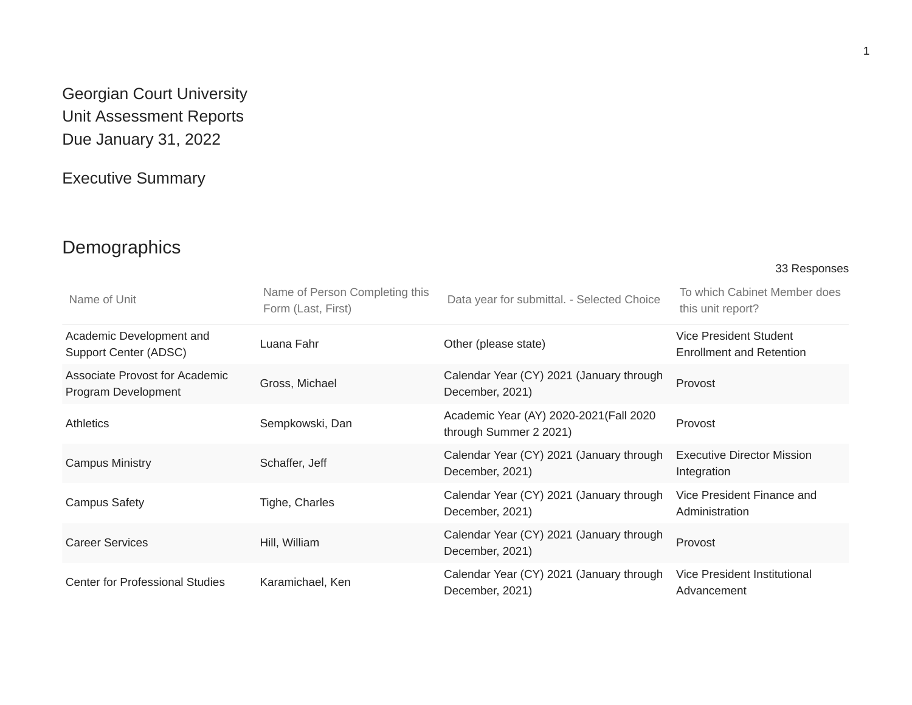# Georgian Court University Unit Assessment Reports Due January 31, 2022

# Executive Summary

# Demographics

33 Responses

| Name of Unit                                          | Name of Person Completing this<br>Form (Last, First) | Data year for submittal. - Selected Choice                        | To which Cabinet Member does<br>this unit report?  |
|-------------------------------------------------------|------------------------------------------------------|-------------------------------------------------------------------|----------------------------------------------------|
| Academic Development and<br>Support Center (ADSC)     | Luana Fahr                                           | Other (please state)                                              | Vice President Student<br>Enrollment and Retention |
| Associate Provost for Academic<br>Program Development | Gross, Michael                                       | Calendar Year (CY) 2021 (January through<br>December, 2021)       | Provost                                            |
| <b>Athletics</b>                                      | Sempkowski, Dan                                      | Academic Year (AY) 2020-2021 (Fall 2020<br>through Summer 2 2021) | Provost                                            |
| <b>Campus Ministry</b>                                | Schaffer, Jeff                                       | Calendar Year (CY) 2021 (January through<br>December, 2021)       | <b>Executive Director Mission</b><br>Integration   |
| <b>Campus Safety</b>                                  | Tighe, Charles                                       | Calendar Year (CY) 2021 (January through<br>December, 2021)       | Vice President Finance and<br>Administration       |
| <b>Career Services</b>                                | Hill, William                                        | Calendar Year (CY) 2021 (January through<br>December, 2021)       | Provost                                            |
| <b>Center for Professional Studies</b>                | Karamichael, Ken                                     | Calendar Year (CY) 2021 (January through<br>December, 2021)       | Vice President Institutional<br>Advancement        |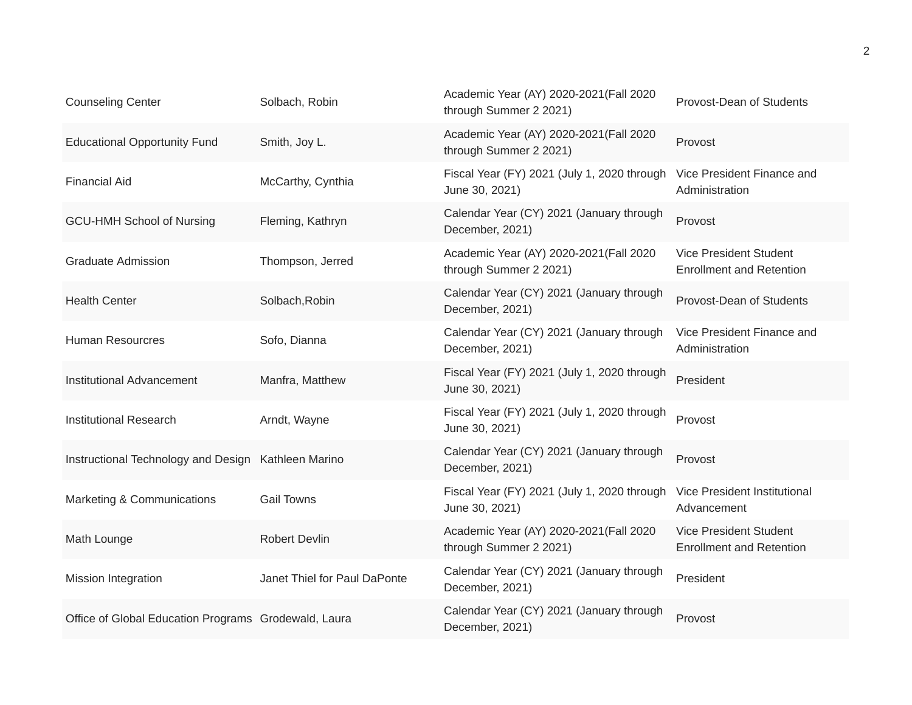| <b>Counseling Center</b>                             | Solbach, Robin               | Academic Year (AY) 2020-2021(Fall 2020<br>through Summer 2 2021)  | Provost-Dean of Students                                         |
|------------------------------------------------------|------------------------------|-------------------------------------------------------------------|------------------------------------------------------------------|
| <b>Educational Opportunity Fund</b>                  | Smith, Joy L.                | Academic Year (AY) 2020-2021 (Fall 2020<br>through Summer 2 2021) | Provost                                                          |
| <b>Financial Aid</b>                                 | McCarthy, Cynthia            | Fiscal Year (FY) 2021 (July 1, 2020 through<br>June 30, 2021)     | Vice President Finance and<br>Administration                     |
| <b>GCU-HMH School of Nursing</b>                     | Fleming, Kathryn             | Calendar Year (CY) 2021 (January through<br>December, 2021)       | Provost                                                          |
| <b>Graduate Admission</b>                            | Thompson, Jerred             | Academic Year (AY) 2020-2021 (Fall 2020<br>through Summer 2 2021) | <b>Vice President Student</b><br><b>Enrollment and Retention</b> |
| <b>Health Center</b>                                 | Solbach, Robin               | Calendar Year (CY) 2021 (January through<br>December, 2021)       | Provost-Dean of Students                                         |
| <b>Human Resourcres</b>                              | Sofo, Dianna                 | Calendar Year (CY) 2021 (January through<br>December, 2021)       | Vice President Finance and<br>Administration                     |
| <b>Institutional Advancement</b>                     | Manfra, Matthew              | Fiscal Year (FY) 2021 (July 1, 2020 through<br>June 30, 2021)     | President                                                        |
| <b>Institutional Research</b>                        | Arndt, Wayne                 | Fiscal Year (FY) 2021 (July 1, 2020 through<br>June 30, 2021)     | Provost                                                          |
| Instructional Technology and Design Kathleen Marino  |                              | Calendar Year (CY) 2021 (January through<br>December, 2021)       | Provost                                                          |
| Marketing & Communications                           | <b>Gail Towns</b>            | Fiscal Year (FY) 2021 (July 1, 2020 through<br>June 30, 2021)     | Vice President Institutional<br>Advancement                      |
| Math Lounge                                          | <b>Robert Devlin</b>         | Academic Year (AY) 2020-2021 (Fall 2020<br>through Summer 2 2021) | Vice President Student<br><b>Enrollment and Retention</b>        |
| <b>Mission Integration</b>                           | Janet Thiel for Paul DaPonte | Calendar Year (CY) 2021 (January through<br>December, 2021)       | President                                                        |
| Office of Global Education Programs Grodewald, Laura |                              | Calendar Year (CY) 2021 (January through<br>December, 2021)       | Provost                                                          |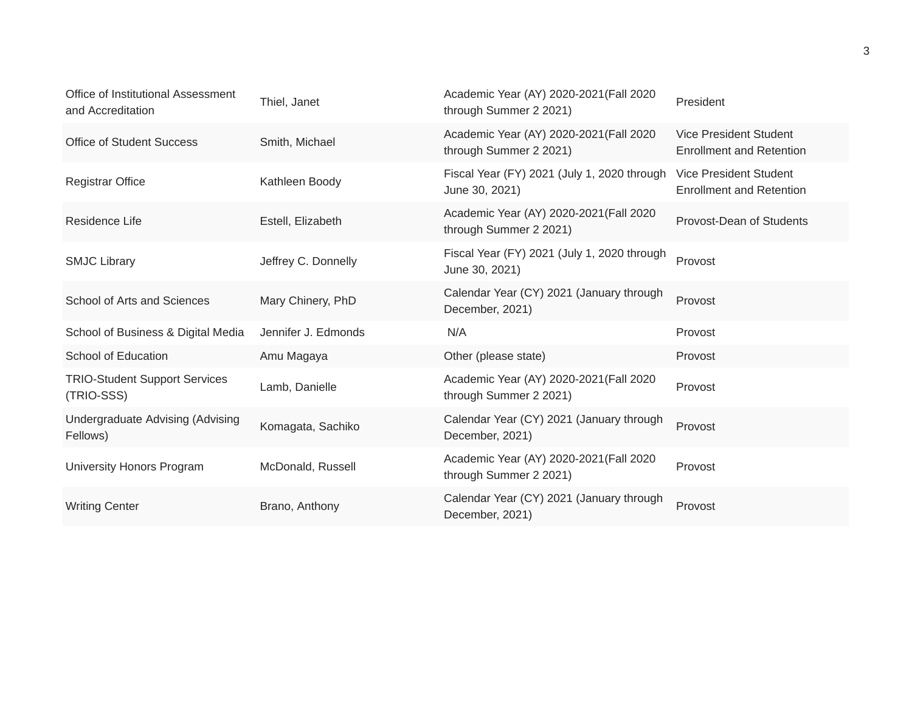| Office of Institutional Assessment<br>and Accreditation | Thiel, Janet        | Academic Year (AY) 2020-2021 (Fall 2020<br>through Summer 2 2021) | President                                                 |
|---------------------------------------------------------|---------------------|-------------------------------------------------------------------|-----------------------------------------------------------|
| <b>Office of Student Success</b>                        | Smith, Michael      | Academic Year (AY) 2020-2021 (Fall 2020<br>through Summer 2 2021) | Vice President Student<br><b>Enrollment and Retention</b> |
| <b>Registrar Office</b>                                 | Kathleen Boody      | Fiscal Year (FY) 2021 (July 1, 2020 through<br>June 30, 2021)     | Vice President Student<br><b>Enrollment and Retention</b> |
| Residence Life                                          | Estell, Elizabeth   | Academic Year (AY) 2020-2021 (Fall 2020<br>through Summer 2 2021) | Provost-Dean of Students                                  |
| <b>SMJC Library</b>                                     | Jeffrey C. Donnelly | Fiscal Year (FY) 2021 (July 1, 2020 through<br>June 30, 2021)     | Provost                                                   |
| School of Arts and Sciences                             | Mary Chinery, PhD   | Calendar Year (CY) 2021 (January through<br>December, 2021)       | Provost                                                   |
| School of Business & Digital Media                      | Jennifer J. Edmonds | N/A                                                               | Provost                                                   |
| School of Education                                     | Amu Magaya          | Other (please state)                                              | Provost                                                   |
| <b>TRIO-Student Support Services</b><br>(TRIO-SSS)      | Lamb, Danielle      | Academic Year (AY) 2020-2021 (Fall 2020<br>through Summer 2 2021) | Provost                                                   |
| Undergraduate Advising (Advising<br>Fellows)            | Komagata, Sachiko   | Calendar Year (CY) 2021 (January through<br>December, 2021)       | Provost                                                   |
| University Honors Program                               | McDonald, Russell   | Academic Year (AY) 2020-2021 (Fall 2020<br>through Summer 2 2021) | Provost                                                   |
| <b>Writing Center</b>                                   | Brano, Anthony      | Calendar Year (CY) 2021 (January through<br>December, 2021)       | Provost                                                   |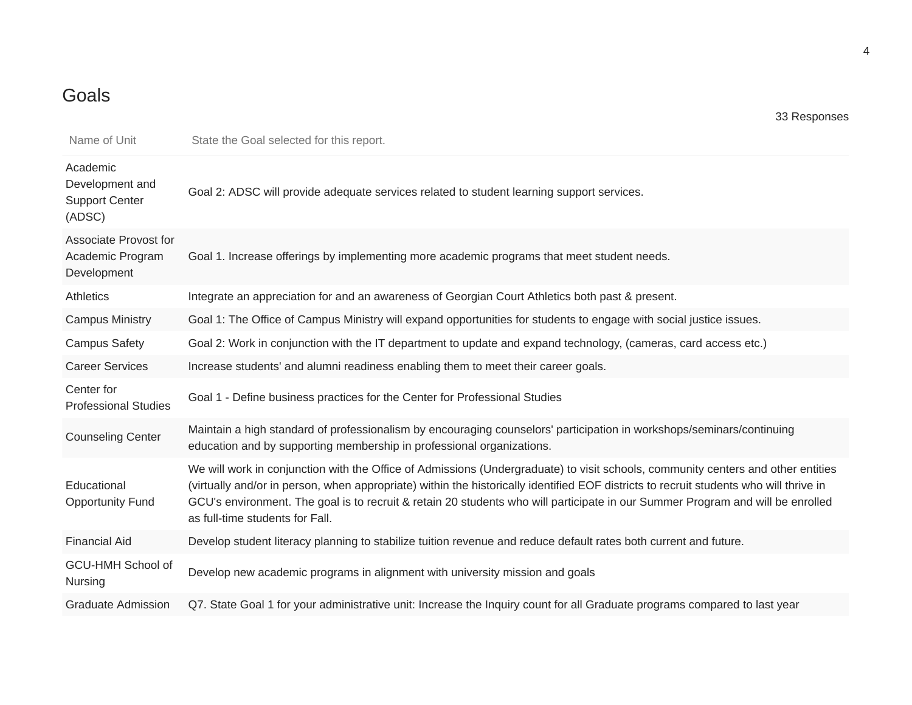# Goals

| Name of Unit                                                    | State the Goal selected for this report.                                                                                                                                                                                                                                                                                                                                                                                                        |
|-----------------------------------------------------------------|-------------------------------------------------------------------------------------------------------------------------------------------------------------------------------------------------------------------------------------------------------------------------------------------------------------------------------------------------------------------------------------------------------------------------------------------------|
| Academic<br>Development and<br><b>Support Center</b><br>(ADSC)  | Goal 2: ADSC will provide adequate services related to student learning support services.                                                                                                                                                                                                                                                                                                                                                       |
| <b>Associate Provost for</b><br>Academic Program<br>Development | Goal 1. Increase offerings by implementing more academic programs that meet student needs.                                                                                                                                                                                                                                                                                                                                                      |
| <b>Athletics</b>                                                | Integrate an appreciation for and an awareness of Georgian Court Athletics both past & present.                                                                                                                                                                                                                                                                                                                                                 |
| <b>Campus Ministry</b>                                          | Goal 1: The Office of Campus Ministry will expand opportunities for students to engage with social justice issues.                                                                                                                                                                                                                                                                                                                              |
| <b>Campus Safety</b>                                            | Goal 2: Work in conjunction with the IT department to update and expand technology, (cameras, card access etc.)                                                                                                                                                                                                                                                                                                                                 |
| <b>Career Services</b>                                          | Increase students' and alumni readiness enabling them to meet their career goals.                                                                                                                                                                                                                                                                                                                                                               |
| Center for<br><b>Professional Studies</b>                       | Goal 1 - Define business practices for the Center for Professional Studies                                                                                                                                                                                                                                                                                                                                                                      |
| <b>Counseling Center</b>                                        | Maintain a high standard of professionalism by encouraging counselors' participation in workshops/seminars/continuing<br>education and by supporting membership in professional organizations.                                                                                                                                                                                                                                                  |
| Educational<br><b>Opportunity Fund</b>                          | We will work in conjunction with the Office of Admissions (Undergraduate) to visit schools, community centers and other entities<br>(virtually and/or in person, when appropriate) within the historically identified EOF districts to recruit students who will thrive in<br>GCU's environment. The goal is to recruit & retain 20 students who will participate in our Summer Program and will be enrolled<br>as full-time students for Fall. |
| <b>Financial Aid</b>                                            | Develop student literacy planning to stabilize tuition revenue and reduce default rates both current and future.                                                                                                                                                                                                                                                                                                                                |
| GCU-HMH School of<br>Nursing                                    | Develop new academic programs in alignment with university mission and goals                                                                                                                                                                                                                                                                                                                                                                    |
| <b>Graduate Admission</b>                                       | Q7. State Goal 1 for your administrative unit: Increase the Inquiry count for all Graduate programs compared to last year                                                                                                                                                                                                                                                                                                                       |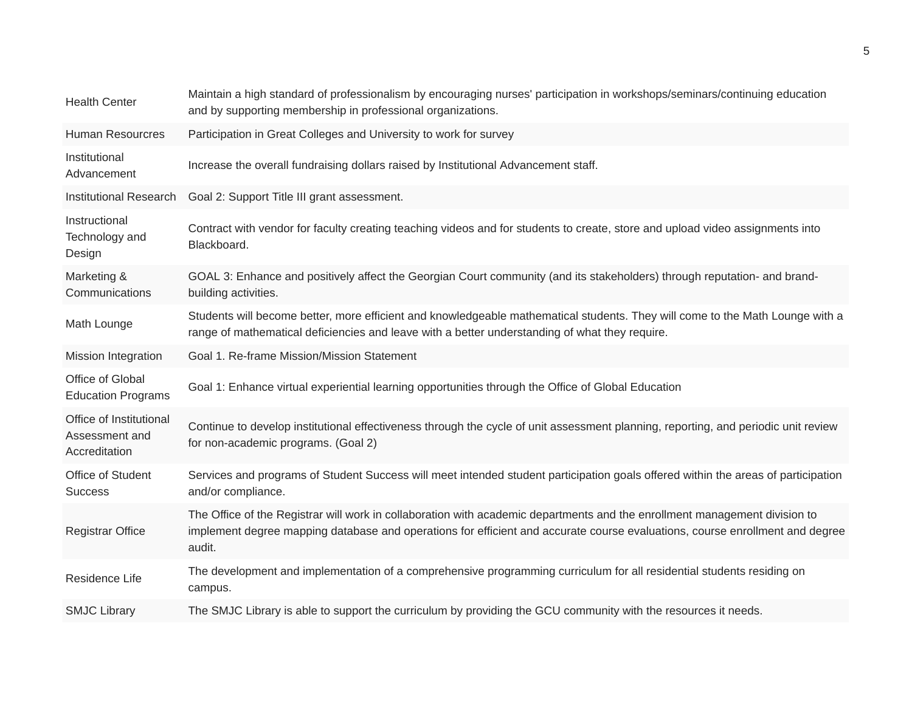| <b>Health Center</b>                                       | Maintain a high standard of professionalism by encouraging nurses' participation in workshops/seminars/continuing education<br>and by supporting membership in professional organizations.                                                                           |
|------------------------------------------------------------|----------------------------------------------------------------------------------------------------------------------------------------------------------------------------------------------------------------------------------------------------------------------|
| <b>Human Resourcres</b>                                    | Participation in Great Colleges and University to work for survey                                                                                                                                                                                                    |
| Institutional<br>Advancement                               | Increase the overall fundraising dollars raised by Institutional Advancement staff.                                                                                                                                                                                  |
| <b>Institutional Research</b>                              | Goal 2: Support Title III grant assessment.                                                                                                                                                                                                                          |
| Instructional<br>Technology and<br>Design                  | Contract with vendor for faculty creating teaching videos and for students to create, store and upload video assignments into<br>Blackboard.                                                                                                                         |
| Marketing &<br>Communications                              | GOAL 3: Enhance and positively affect the Georgian Court community (and its stakeholders) through reputation- and brand-<br>building activities.                                                                                                                     |
| Math Lounge                                                | Students will become better, more efficient and knowledgeable mathematical students. They will come to the Math Lounge with a<br>range of mathematical deficiencies and leave with a better understanding of what they require.                                      |
| Mission Integration                                        | Goal 1. Re-frame Mission/Mission Statement                                                                                                                                                                                                                           |
| Office of Global<br><b>Education Programs</b>              | Goal 1: Enhance virtual experiential learning opportunities through the Office of Global Education                                                                                                                                                                   |
| Office of Institutional<br>Assessment and<br>Accreditation | Continue to develop institutional effectiveness through the cycle of unit assessment planning, reporting, and periodic unit review<br>for non-academic programs. (Goal 2)                                                                                            |
| Office of Student<br><b>Success</b>                        | Services and programs of Student Success will meet intended student participation goals offered within the areas of participation<br>and/or compliance.                                                                                                              |
| Registrar Office                                           | The Office of the Registrar will work in collaboration with academic departments and the enrollment management division to<br>implement degree mapping database and operations for efficient and accurate course evaluations, course enrollment and degree<br>audit. |
| Residence Life                                             | The development and implementation of a comprehensive programming curriculum for all residential students residing on<br>campus.                                                                                                                                     |
| <b>SMJC Library</b>                                        | The SMJC Library is able to support the curriculum by providing the GCU community with the resources it needs.                                                                                                                                                       |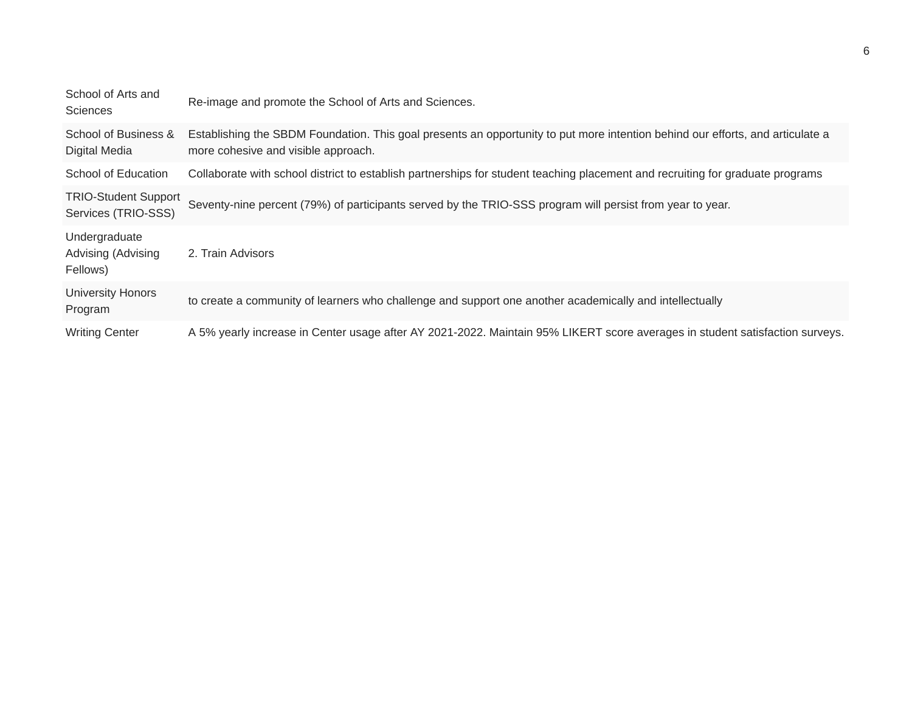| School of Arts and<br><b>Sciences</b>              | Re-image and promote the School of Arts and Sciences.                                                                                                                 |
|----------------------------------------------------|-----------------------------------------------------------------------------------------------------------------------------------------------------------------------|
| School of Business &<br>Digital Media              | Establishing the SBDM Foundation. This goal presents an opportunity to put more intention behind our efforts, and articulate a<br>more cohesive and visible approach. |
| School of Education                                | Collaborate with school district to establish partnerships for student teaching placement and recruiting for graduate programs                                        |
| <b>TRIO-Student Support</b><br>Services (TRIO-SSS) | Seventy-nine percent (79%) of participants served by the TRIO-SSS program will persist from year to year.                                                             |
| Undergraduate<br>Advising (Advising<br>Fellows)    | 2. Train Advisors                                                                                                                                                     |
| <b>University Honors</b><br>Program                | to create a community of learners who challenge and support one another academically and intellectually                                                               |
| <b>Writing Center</b>                              | A 5% yearly increase in Center usage after AY 2021-2022. Maintain 95% LIKERT score averages in student satisfaction surveys.                                          |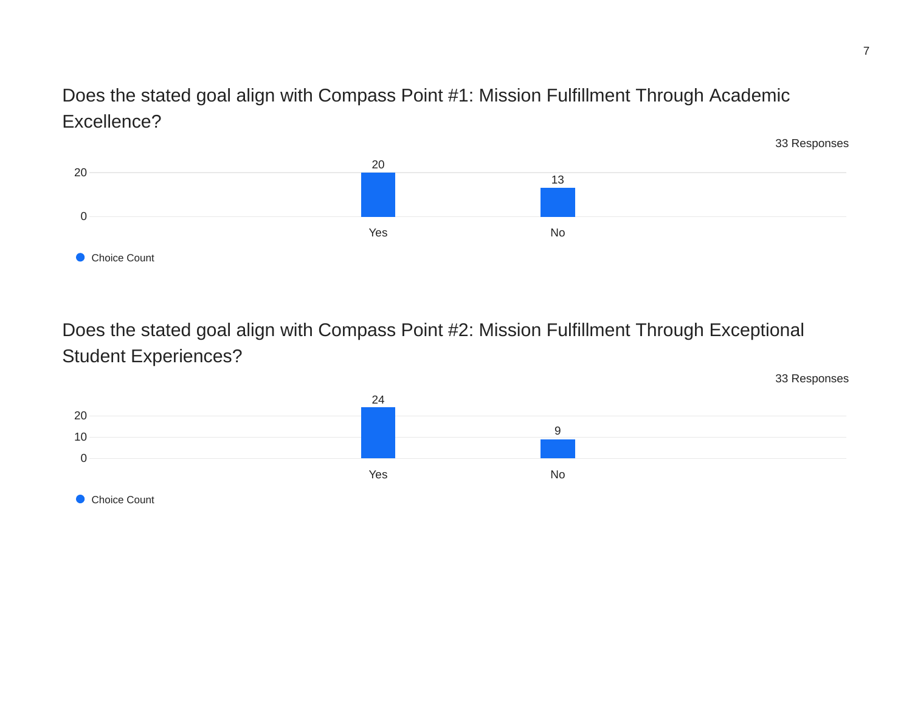Does the stated goal align with Compass Point #1: Mission Fulfillment Through Academic Excellence?



Does the stated goal align with Compass Point #2: Mission Fulfillment Through Exceptional Student Experiences?

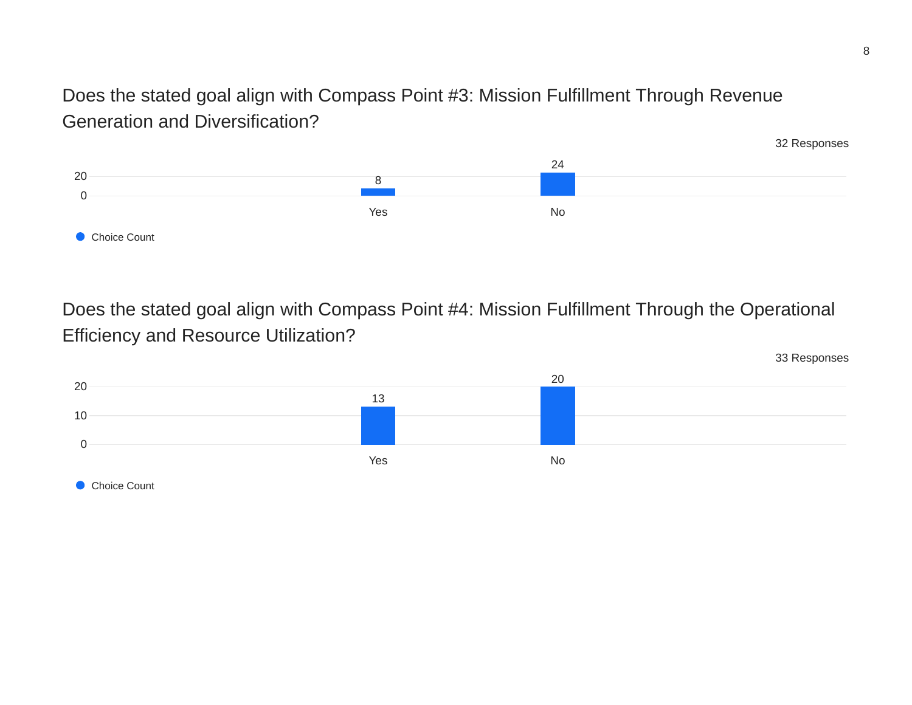Does the stated goal align with Compass Point #3: Mission Fulfillment Through Revenue Generation and Diversification?



Does the stated goal align with Compass Point #4: Mission Fulfillment Through the Operational Efficiency and Resource Utilization?

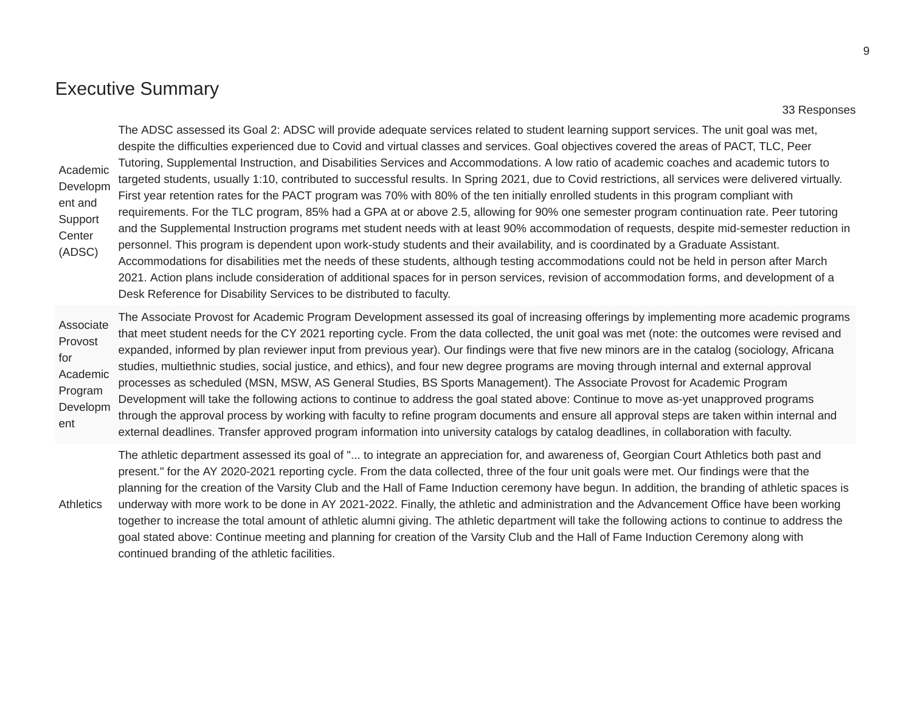### Executive Summary

#### 33 Responses

Academic Developm ent and Support Center (ADSC)

The ADSC assessed its Goal 2: ADSC will provide adequate services related to student learning support services. The unit goal was met, despite the difficulties experienced due to Covid and virtual classes and services. Goal objectives covered the areas of PACT, TLC, Peer Tutoring, Supplemental Instruction, and Disabilities Services and Accommodations. A low ratio of academic coaches and academic tutors to targeted students, usually 1:10, contributed to successful results. In Spring 2021, due to Covid restrictions, all services were delivered virtually. First year retention rates for the PACT program was 70% with 80% of the ten initially enrolled students in this program compliant with requirements. For the TLC program, 85% had a GPA at or above 2.5, allowing for 90% one semester program continuation rate. Peer tutoring and the Supplemental Instruction programs met student needs with at least 90% accommodation of requests, despite mid-semester reduction in personnel. This program is dependent upon work-study students and their availability, and is coordinated by a Graduate Assistant. Accommodations for disabilities met the needs of these students, although testing accommodations could not be held in person after March 2021. Action plans include consideration of additional spaces for in person services, revision of accommodation forms, and development of a Desk Reference for Disability Services to be distributed to faculty.

Associate Provost for Academic Program Developm ent The Associate Provost for Academic Program Development assessed its goal of increasing offerings by implementing more academic programs that meet student needs for the CY 2021 reporting cycle. From the data collected, the unit goal was met (note: the outcomes were revised and expanded, informed by plan reviewer input from previous year). Our findings were that five new minors are in the catalog (sociology, Africana studies, multiethnic studies, social justice, and ethics), and four new degree programs are moving through internal and external approval processes as scheduled (MSN, MSW, AS General Studies, BS Sports Management). The Associate Provost for Academic Program Development will take the following actions to continue to address the goal stated above: Continue to move as-yet unapproved programs through the approval process by working with faculty to refine program documents and ensure all approval steps are taken within internal and external deadlines. Transfer approved program information into university catalogs by catalog deadlines, in collaboration with faculty.

Athletics The athletic department assessed its goal of "... to integrate an appreciation for, and awareness of, Georgian Court Athletics both past and present." for the AY 2020-2021 reporting cycle. From the data collected, three of the four unit goals were met. Our findings were that the planning for the creation of the Varsity Club and the Hall of Fame Induction ceremony have begun. In addition, the branding of athletic spaces is underway with more work to be done in AY 2021-2022. Finally, the athletic and administration and the Advancement Office have been working together to increase the total amount of athletic alumni giving. The athletic department will take the following actions to continue to address the goal stated above: Continue meeting and planning for creation of the Varsity Club and the Hall of Fame Induction Ceremony along with continued branding of the athletic facilities.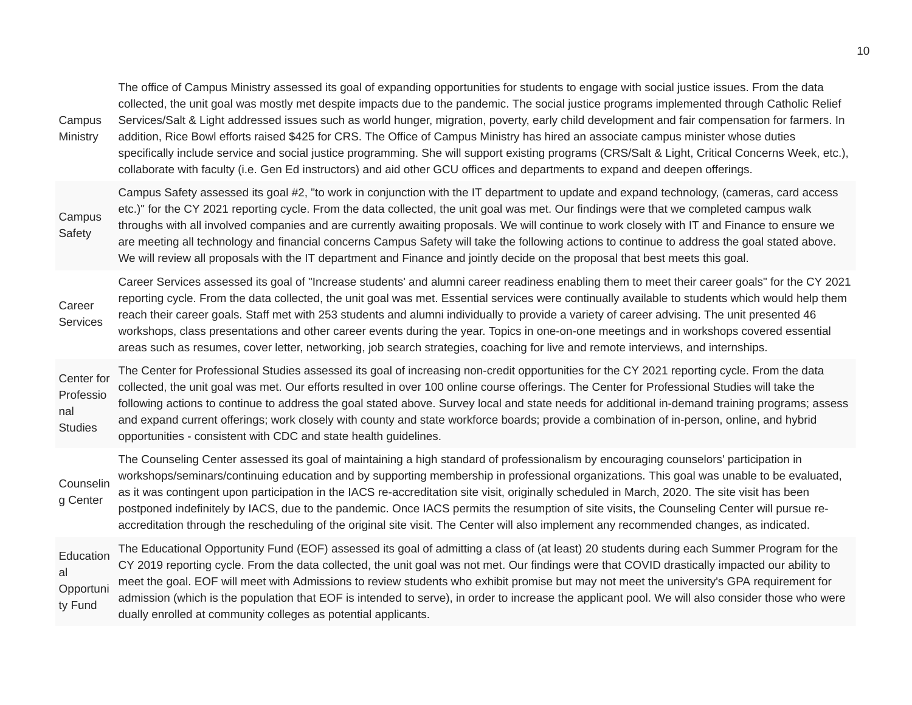| Campus<br>Ministry                               | The office of Campus Ministry assessed its goal of expanding opportunities for students to engage with social justice issues. From the data<br>collected, the unit goal was mostly met despite impacts due to the pandemic. The social justice programs implemented through Catholic Relief<br>Services/Salt & Light addressed issues such as world hunger, migration, poverty, early child development and fair compensation for farmers. In<br>addition, Rice Bowl efforts raised \$425 for CRS. The Office of Campus Ministry has hired an associate campus minister whose duties<br>specifically include service and social justice programming. She will support existing programs (CRS/Salt & Light, Critical Concerns Week, etc.),<br>collaborate with faculty (i.e. Gen Ed instructors) and aid other GCU offices and departments to expand and deepen offerings. |
|--------------------------------------------------|---------------------------------------------------------------------------------------------------------------------------------------------------------------------------------------------------------------------------------------------------------------------------------------------------------------------------------------------------------------------------------------------------------------------------------------------------------------------------------------------------------------------------------------------------------------------------------------------------------------------------------------------------------------------------------------------------------------------------------------------------------------------------------------------------------------------------------------------------------------------------|
| Campus<br>Safety                                 | Campus Safety assessed its goal #2, "to work in conjunction with the IT department to update and expand technology, (cameras, card access<br>etc.)" for the CY 2021 reporting cycle. From the data collected, the unit goal was met. Our findings were that we completed campus walk<br>throughs with all involved companies and are currently awaiting proposals. We will continue to work closely with IT and Finance to ensure we<br>are meeting all technology and financial concerns Campus Safety will take the following actions to continue to address the goal stated above.<br>We will review all proposals with the IT department and Finance and jointly decide on the proposal that best meets this goal.                                                                                                                                                    |
| Career<br>Services                               | Career Services assessed its goal of "Increase students' and alumni career readiness enabling them to meet their career goals" for the CY 2021<br>reporting cycle. From the data collected, the unit goal was met. Essential services were continually available to students which would help them<br>reach their career goals. Staff met with 253 students and alumni individually to provide a variety of career advising. The unit presented 46<br>workshops, class presentations and other career events during the year. Topics in one-on-one meetings and in workshops covered essential<br>areas such as resumes, cover letter, networking, job search strategies, coaching for live and remote interviews, and internships.                                                                                                                                       |
| Center for<br>Professio<br>nal<br><b>Studies</b> | The Center for Professional Studies assessed its goal of increasing non-credit opportunities for the CY 2021 reporting cycle. From the data<br>collected, the unit goal was met. Our efforts resulted in over 100 online course offerings. The Center for Professional Studies will take the<br>following actions to continue to address the goal stated above. Survey local and state needs for additional in-demand training programs; assess<br>and expand current offerings; work closely with county and state workforce boards; provide a combination of in-person, online, and hybrid<br>opportunities - consistent with CDC and state health guidelines.                                                                                                                                                                                                          |
| Counselin<br>g Center                            | The Counseling Center assessed its goal of maintaining a high standard of professionalism by encouraging counselors' participation in<br>workshops/seminars/continuing education and by supporting membership in professional organizations. This goal was unable to be evaluated,<br>as it was contingent upon participation in the IACS re-accreditation site visit, originally scheduled in March, 2020. The site visit has been<br>postponed indefinitely by IACS, due to the pandemic. Once IACS permits the resumption of site visits, the Counseling Center will pursue re-<br>accreditation through the rescheduling of the original site visit. The Center will also implement any recommended changes, as indicated.                                                                                                                                            |
| Education<br>al<br>Opportuni<br>ty Fund          | The Educational Opportunity Fund (EOF) assessed its goal of admitting a class of (at least) 20 students during each Summer Program for the<br>CY 2019 reporting cycle. From the data collected, the unit goal was not met. Our findings were that COVID drastically impacted our ability to<br>meet the goal. EOF will meet with Admissions to review students who exhibit promise but may not meet the university's GPA requirement for<br>admission (which is the population that EOF is intended to serve), in order to increase the applicant pool. We will also consider those who were<br>dually enrolled at community colleges as potential applicants.                                                                                                                                                                                                            |
|                                                  |                                                                                                                                                                                                                                                                                                                                                                                                                                                                                                                                                                                                                                                                                                                                                                                                                                                                           |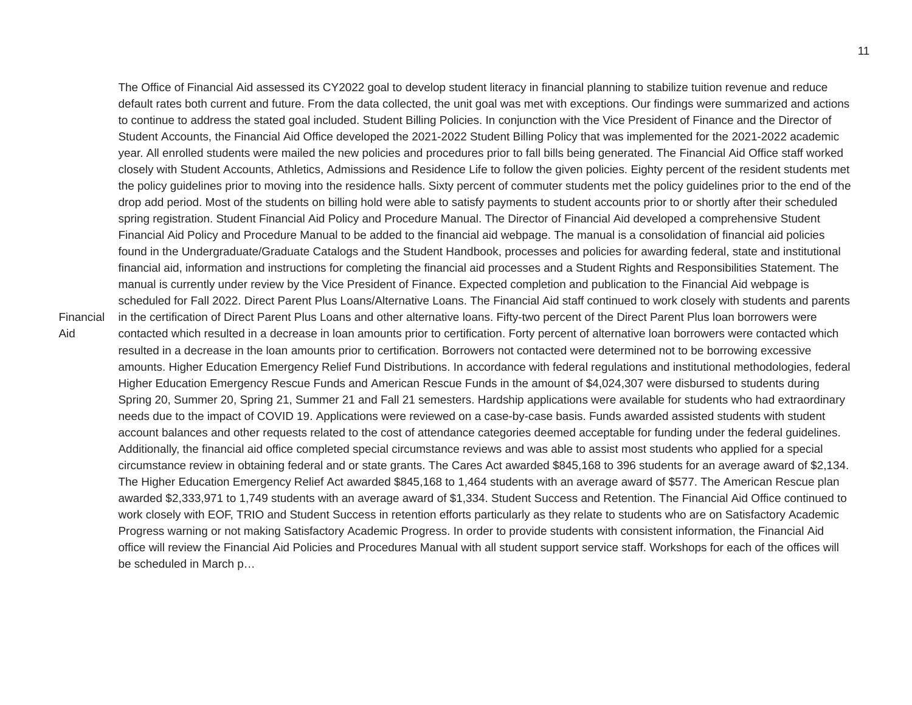The Office of Financial Aid assessed its CY2022 goal to develop student literacy in financial planning to stabilize tuition revenue and reduce default rates both current and future. From the data collected, the unit goal was met with exceptions. Our findings were summarized and actions to continue to address the stated goal included. Student Billing Policies. In conjunction with the Vice President of Finance and the Director of Student Accounts, the Financial Aid Office developed the 2021-2022 Student Billing Policy that was implemented for the 2021-2022 academic year. All enrolled students were mailed the new policies and procedures prior to fall bills being generated. The Financial Aid Office staff worked closely with Student Accounts, Athletics, Admissions and Residence Life to follow the given policies. Eighty percent of the resident students met the policy guidelines prior to moving into the residence halls. Sixty percent of commuter students met the policy guidelines prior to the end of the drop add period. Most of the students on billing hold were able to satisfy payments to student accounts prior to or shortly after their scheduled spring registration. Student Financial Aid Policy and Procedure Manual. The Director of Financial Aid developed a comprehensive Student Financial Aid Policy and Procedure Manual to be added to the financial aid webpage. The manual is a consolidation of financial aid policies found in the Undergraduate/Graduate Catalogs and the Student Handbook, processes and policies for awarding federal, state and institutional financial aid, information and instructions for completing the financial aid processes and a Student Rights and Responsibilities Statement. The manual is currently under review by the Vice President of Finance. Expected completion and publication to the Financial Aid webpage is scheduled for Fall 2022. Direct Parent Plus Loans/Alternative Loans. The Financial Aid staff continued to work closely with students and parents in the certification of Direct Parent Plus Loans and other alternative loans. Fifty-two percent of the Direct Parent Plus loan borrowers were contacted which resulted in a decrease in loan amounts prior to certification. Forty percent of alternative loan borrowers were contacted which resulted in a decrease in the loan amounts prior to certification. Borrowers not contacted were determined not to be borrowing excessive amounts. Higher Education Emergency Relief Fund Distributions. In accordance with federal regulations and institutional methodologies, federal Higher Education Emergency Rescue Funds and American Rescue Funds in the amount of \$4,024,307 were disbursed to students during Spring 20, Summer 20, Spring 21, Summer 21 and Fall 21 semesters. Hardship applications were available for students who had extraordinary needs due to the impact of COVID 19. Applications were reviewed on a case-by-case basis. Funds awarded assisted students with student account balances and other requests related to the cost of attendance categories deemed acceptable for funding under the federal guidelines. Additionally, the financial aid office completed special circumstance reviews and was able to assist most students who applied for a special circumstance review in obtaining federal and or state grants. The Cares Act awarded \$845,168 to 396 students for an average award of \$2,134. The Higher Education Emergency Relief Act awarded \$845,168 to 1,464 students with an average award of \$577. The American Rescue plan awarded \$2,333,971 to 1,749 students with an average award of \$1,334. Student Success and Retention. The Financial Aid Office continued to work closely with EOF, TRIO and Student Success in retention efforts particularly as they relate to students who are on Satisfactory Academic Progress warning or not making Satisfactory Academic Progress. In order to provide students with consistent information, the Financial Aid office will review the Financial Aid Policies and Procedures Manual with all student support service staff. Workshops for each of the offices will be scheduled in March p…

Financial Aid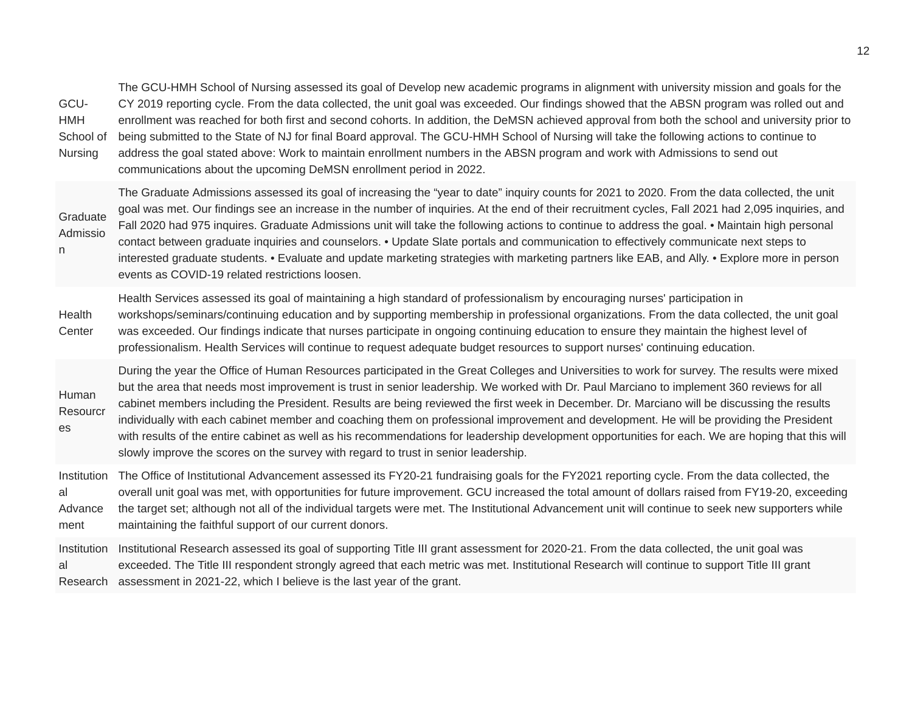GCU-HMH School of Nursing The GCU-HMH School of Nursing assessed its goal of Develop new academic programs in alignment with university mission and goals for the CY 2019 reporting cycle. From the data collected, the unit goal was exceeded. Our findings showed that the ABSN program was rolled out and enrollment was reached for both first and second cohorts. In addition, the DeMSN achieved approval from both the school and university prior to being submitted to the State of NJ for final Board approval. The GCU-HMH School of Nursing will take the following actions to continue to address the goal stated above: Work to maintain enrollment numbers in the ABSN program and work with Admissions to send out communications about the upcoming DeMSN enrollment period in 2022.

Graduate Admissio n The Graduate Admissions assessed its goal of increasing the "year to date" inquiry counts for 2021 to 2020. From the data collected, the unit goal was met. Our findings see an increase in the number of inquiries. At the end of their recruitment cycles, Fall 2021 had 2,095 inquiries, and Fall 2020 had 975 inquires. Graduate Admissions unit will take the following actions to continue to address the goal. • Maintain high personal contact between graduate inquiries and counselors. • Update Slate portals and communication to effectively communicate next steps to interested graduate students. • Evaluate and update marketing strategies with marketing partners like EAB, and Ally. • Explore more in person events as COVID-19 related restrictions loosen.

**Health Center** Health Services assessed its goal of maintaining a high standard of professionalism by encouraging nurses' participation in workshops/seminars/continuing education and by supporting membership in professional organizations. From the data collected, the unit goal was exceeded. Our findings indicate that nurses participate in ongoing continuing education to ensure they maintain the highest level of professionalism. Health Services will continue to request adequate budget resources to support nurses' continuing education.

Human **Resourcr** es During the year the Office of Human Resources participated in the Great Colleges and Universities to work for survey. The results were mixed but the area that needs most improvement is trust in senior leadership. We worked with Dr. Paul Marciano to implement 360 reviews for all cabinet members including the President. Results are being reviewed the first week in December. Dr. Marciano will be discussing the results individually with each cabinet member and coaching them on professional improvement and development. He will be providing the President with results of the entire cabinet as well as his recommendations for leadership development opportunities for each. We are hoping that this will slowly improve the scores on the survey with regard to trust in senior leadership.

Institution The Office of Institutional Advancement assessed its FY20-21 fundraising goals for the FY2021 reporting cycle. From the data collected, the al Advance ment overall unit goal was met, with opportunities for future improvement. GCU increased the total amount of dollars raised from FY19-20, exceeding the target set; although not all of the individual targets were met. The Institutional Advancement unit will continue to seek new supporters while maintaining the faithful support of our current donors.

Institution al Research assessment in 2021-22, which I believe is the last year of the grant.Institutional Research assessed its goal of supporting Title III grant assessment for 2020-21. From the data collected, the unit goal was exceeded. The Title III respondent strongly agreed that each metric was met. Institutional Research will continue to support Title III grant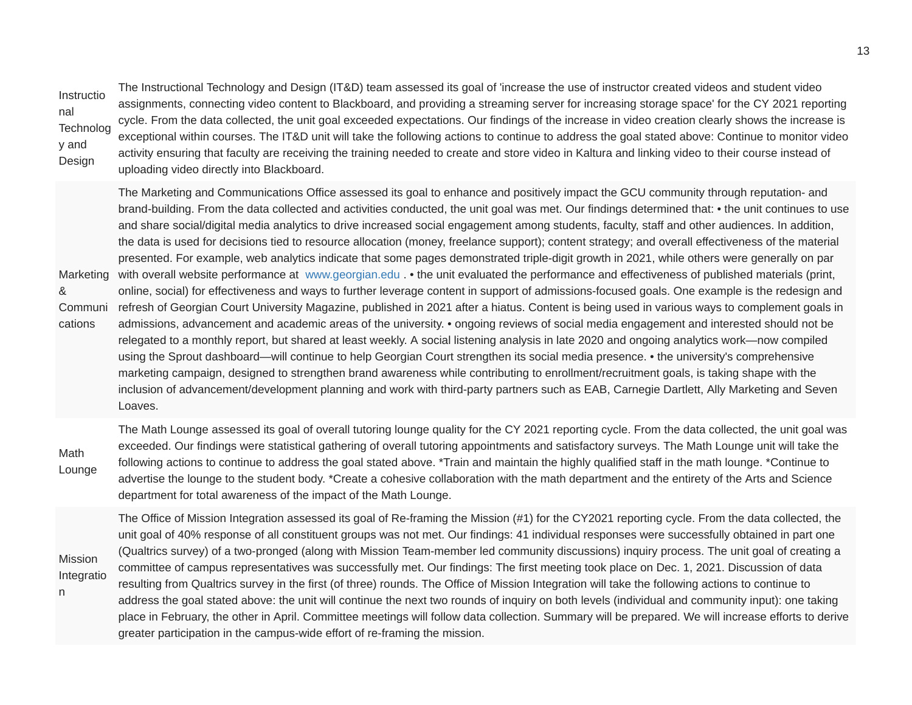Instructio Technolog y and Design The Instructional Technology and Design (IT&D) team assessed its goal of 'increase the use of instructor created videos and student video assignments, connecting video content to Blackboard, and providing a streaming server for increasing storage space' for the CY 2021 reporting cycle. From the data collected, the unit goal exceeded expectations. Our findings of the increase in video creation clearly shows the increase is exceptional within courses. The IT&D unit will take the following actions to continue to address the goal stated above: Continue to monitor video activity ensuring that faculty are receiving the training needed to create and store video in Kaltura and linking video to their course instead of uploading video directly into Blackboard.

nal

n

Marketing with overall website performance at [www.georgian.edu](http://www.georgian.edu/) . • the unit evaluated the performance and effectiveness of published materials (print, & Communi refresh of Georgian Court University Magazine, published in 2021 after a hiatus. Content is being used in various ways to complement goals in cations The Marketing and Communications Office assessed its goal to enhance and positively impact the GCU community through reputation- and brand-building. From the data collected and activities conducted, the unit goal was met. Our findings determined that: • the unit continues to use and share social/digital media analytics to drive increased social engagement among students, faculty, staff and other audiences. In addition, the data is used for decisions tied to resource allocation (money, freelance support); content strategy; and overall effectiveness of the material presented. For example, web analytics indicate that some pages demonstrated triple-digit growth in 2021, while others were generally on par online, social) for effectiveness and ways to further leverage content in support of admissions-focused goals. One example is the redesign and admissions, advancement and academic areas of the university. • ongoing reviews of social media engagement and interested should not be relegated to a monthly report, but shared at least weekly. A social listening analysis in late 2020 and ongoing analytics work—now compiled using the Sprout dashboard—will continue to help Georgian Court strengthen its social media presence. • the university's comprehensive marketing campaign, designed to strengthen brand awareness while contributing to enrollment/recruitment goals, is taking shape with the inclusion of advancement/development planning and work with third-party partners such as EAB, Carnegie Dartlett, Ally Marketing and Seven Loaves.

Math Lounge The Math Lounge assessed its goal of overall tutoring lounge quality for the CY 2021 reporting cycle. From the data collected, the unit goal was exceeded. Our findings were statistical gathering of overall tutoring appointments and satisfactory surveys. The Math Lounge unit will take the following actions to continue to address the goal stated above. \*Train and maintain the highly qualified staff in the math lounge. \*Continue to advertise the lounge to the student body. \*Create a cohesive collaboration with the math department and the entirety of the Arts and Science department for total awareness of the impact of the Math Lounge.

Mission Integratio The Office of Mission Integration assessed its goal of Re-framing the Mission (#1) for the CY2021 reporting cycle. From the data collected, the unit goal of 40% response of all constituent groups was not met. Our findings: 41 individual responses were successfully obtained in part one (Qualtrics survey) of a two-pronged (along with Mission Team-member led community discussions) inquiry process. The unit goal of creating a committee of campus representatives was successfully met. Our findings: The first meeting took place on Dec. 1, 2021. Discussion of data resulting from Qualtrics survey in the first (of three) rounds. The Office of Mission Integration will take the following actions to continue to address the goal stated above: the unit will continue the next two rounds of inquiry on both levels (individual and community input): one taking place in February, the other in April. Committee meetings will follow data collection. Summary will be prepared. We will increase efforts to derive greater participation in the campus-wide effort of re-framing the mission.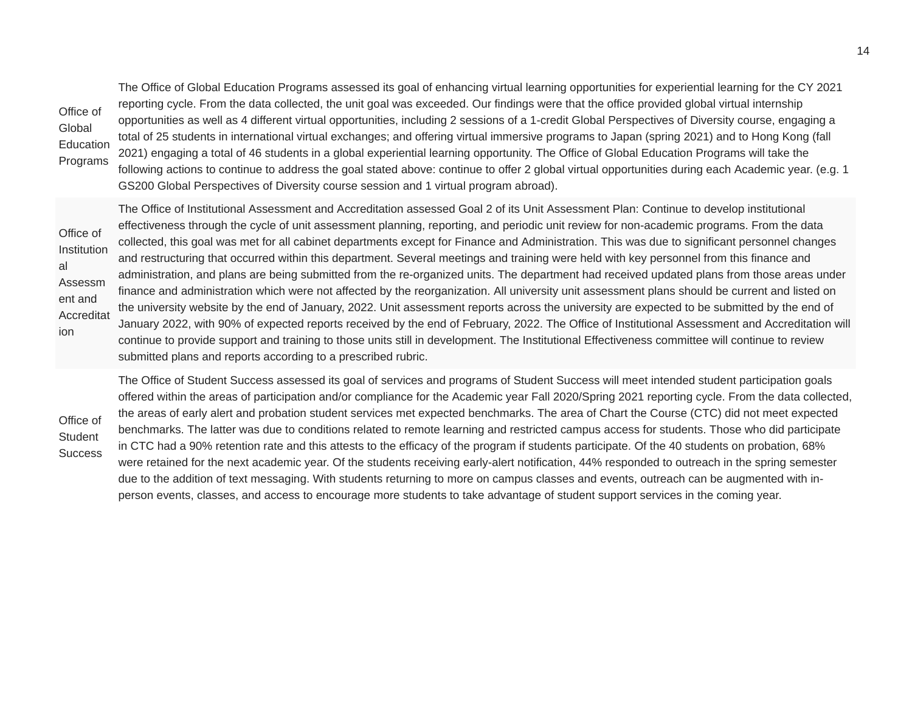Education Programs The Office of Global Education Programs assessed its goal of enhancing virtual learning opportunities for experiential learning for the CY 2021 reporting cycle. From the data collected, the unit goal was exceeded. Our findings were that the office provided global virtual internship opportunities as well as 4 different virtual opportunities, including 2 sessions of a 1-credit Global Perspectives of Diversity course, engaging a total of 25 students in international virtual exchanges; and offering virtual immersive programs to Japan (spring 2021) and to Hong Kong (fall 2021) engaging a total of 46 students in a global experiential learning opportunity. The Office of Global Education Programs will take the following actions to continue to address the goal stated above: continue to offer 2 global virtual opportunities during each Academic year. (e.g. 1 GS200 Global Perspectives of Diversity course session and 1 virtual program abroad).

Office of Institution Assessm ent and Accreditat ion The Office of Institutional Assessment and Accreditation assessed Goal 2 of its Unit Assessment Plan: Continue to develop institutional effectiveness through the cycle of unit assessment planning, reporting, and periodic unit review for non-academic programs. From the data collected, this goal was met for all cabinet departments except for Finance and Administration. This was due to significant personnel changes and restructuring that occurred within this department. Several meetings and training were held with key personnel from this finance and administration, and plans are being submitted from the re-organized units. The department had received updated plans from those areas under finance and administration which were not affected by the reorganization. All university unit assessment plans should be current and listed on the university website by the end of January, 2022. Unit assessment reports across the university are expected to be submitted by the end of January 2022, with 90% of expected reports received by the end of February, 2022. The Office of Institutional Assessment and Accreditation will continue to provide support and training to those units still in development. The Institutional Effectiveness committee will continue to review submitted plans and reports according to a prescribed rubric.

The Office of Student Success assessed its goal of services and programs of Student Success will meet intended student participation goals offered within the areas of participation and/or compliance for the Academic year Fall 2020/Spring 2021 reporting cycle. From the data collected, the areas of early alert and probation student services met expected benchmarks. The area of Chart the Course (CTC) did not meet expected benchmarks. The latter was due to conditions related to remote learning and restricted campus access for students. Those who did participate in CTC had a 90% retention rate and this attests to the efficacy of the program if students participate. Of the 40 students on probation, 68% were retained for the next academic year. Of the students receiving early-alert notification, 44% responded to outreach in the spring semester due to the addition of text messaging. With students returning to more on campus classes and events, outreach can be augmented with inperson events, classes, and access to encourage more students to take advantage of student support services in the coming year.

Office of Student **Success** 

Office of Global

al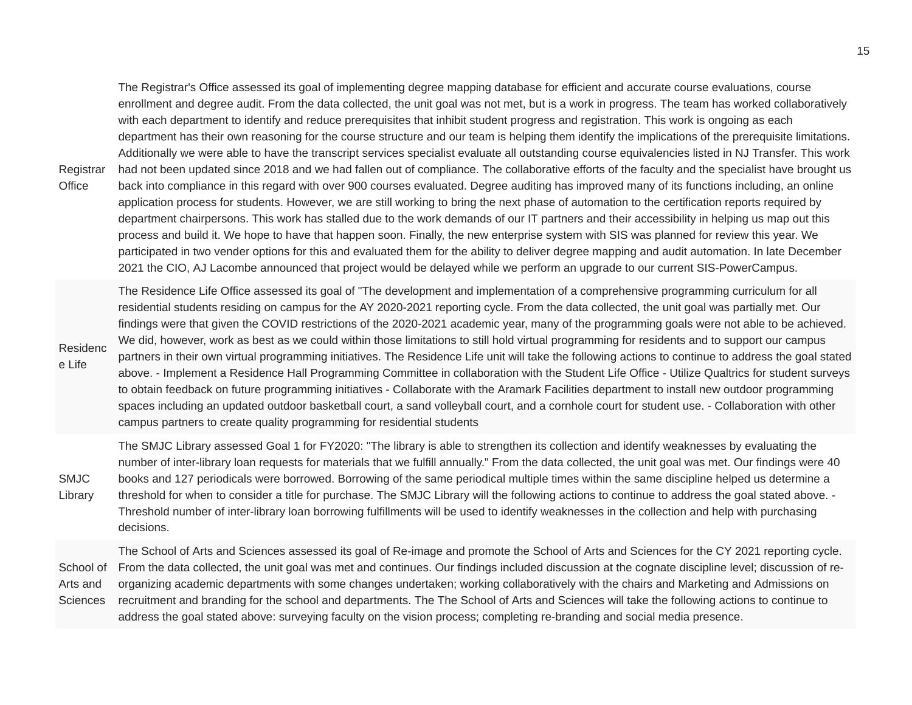Registrar The Registrar's Office assessed its goal of implementing degree mapping database for efficient and accurate course evaluations, course enrollment and degree audit. From the data collected, the unit goal was not met, but is a work in progress. The team has worked collaboratively with each department to identify and reduce prerequisites that inhibit student progress and registration. This work is ongoing as each department has their own reasoning for the course structure and our team is helping them identify the implications of the prerequisite limitations. Additionally we were able to have the transcript services specialist evaluate all outstanding course equivalencies listed in NJ Transfer. This work had not been updated since 2018 and we had fallen out of compliance. The collaborative efforts of the faculty and the specialist have brought us back into compliance in this regard with over 900 courses evaluated. Degree auditing has improved many of its functions including, an online application process for students. However, we are still working to bring the next phase of automation to the certification reports required by department chairpersons. This work has stalled due to the work demands of our IT partners and their accessibility in helping us map out this process and build it. We hope to have that happen soon. Finally, the new enterprise system with SIS was planned for review this year. We participated in two vender options for this and evaluated them for the ability to deliver degree mapping and audit automation. In late December 2021 the CIO, AJ Lacombe announced that project would be delayed while we perform an upgrade to our current SIS-PowerCampus.

**Office** 

Residenc e Life The Residence Life Office assessed its goal of "The development and implementation of a comprehensive programming curriculum for all residential students residing on campus for the AY 2020-2021 reporting cycle. From the data collected, the unit goal was partially met. Our findings were that given the COVID restrictions of the 2020-2021 academic year, many of the programming goals were not able to be achieved. We did, however, work as best as we could within those limitations to still hold virtual programming for residents and to support our campus partners in their own virtual programming initiatives. The Residence Life unit will take the following actions to continue to address the goal stated above. - Implement a Residence Hall Programming Committee in collaboration with the Student Life Office - Utilize Qualtrics for student surveys to obtain feedback on future programming initiatives - Collaborate with the Aramark Facilities department to install new outdoor programming spaces including an updated outdoor basketball court, a sand volleyball court, and a cornhole court for student use. - Collaboration with other campus partners to create quality programming for residential students

SMJC Library The SMJC Library assessed Goal 1 for FY2020: "The library is able to strengthen its collection and identify weaknesses by evaluating the number of inter-library loan requests for materials that we fulfill annually." From the data collected, the unit goal was met. Our findings were 40 books and 127 periodicals were borrowed. Borrowing of the same periodical multiple times within the same discipline helped us determine a threshold for when to consider a title for purchase. The SMJC Library will the following actions to continue to address the goal stated above. - Threshold number of inter-library loan borrowing fulfillments will be used to identify weaknesses in the collection and help with purchasing decisions.

School of Arts and Sciences The School of Arts and Sciences assessed its goal of Re-image and promote the School of Arts and Sciences for the CY 2021 reporting cycle. From the data collected, the unit goal was met and continues. Our findings included discussion at the cognate discipline level; discussion of reorganizing academic departments with some changes undertaken; working collaboratively with the chairs and Marketing and Admissions on recruitment and branding for the school and departments. The The School of Arts and Sciences will take the following actions to continue to address the goal stated above: surveying faculty on the vision process; completing re-branding and social media presence.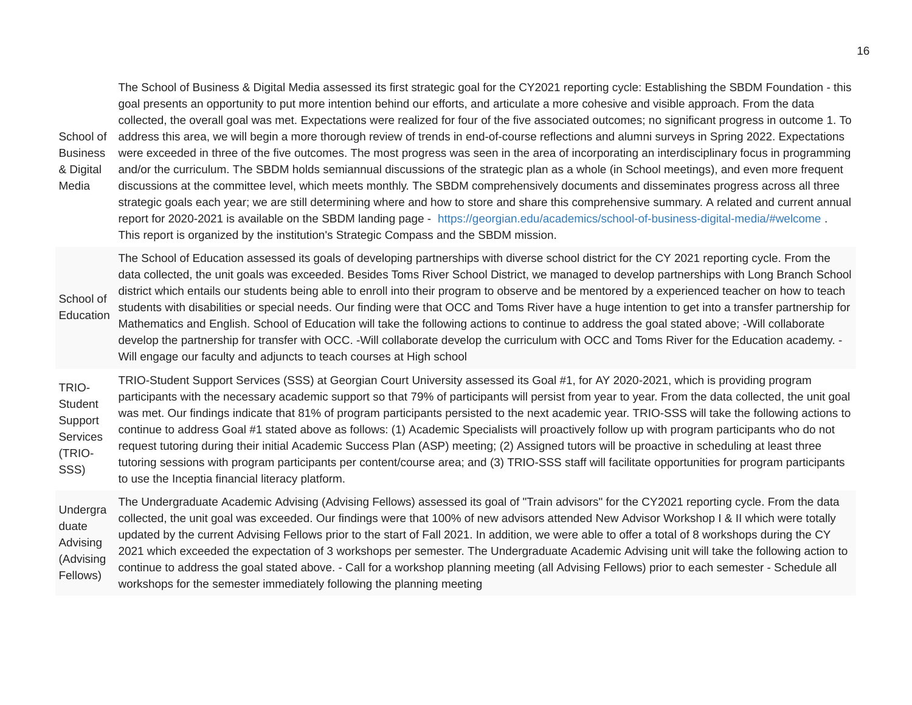School of Business & Digital Media The School of Business & Digital Media assessed its first strategic goal for the CY2021 reporting cycle: Establishing the SBDM Foundation - this goal presents an opportunity to put more intention behind our efforts, and articulate a more cohesive and visible approach. From the data collected, the overall goal was met. Expectations were realized for four of the five associated outcomes; no significant progress in outcome 1. To address this area, we will begin a more thorough review of trends in end-of-course reflections and alumni surveys in Spring 2022. Expectations were exceeded in three of the five outcomes. The most progress was seen in the area of incorporating an interdisciplinary focus in programming and/or the curriculum. The SBDM holds semiannual discussions of the strategic plan as a whole (in School meetings), and even more frequent discussions at the committee level, which meets monthly. The SBDM comprehensively documents and disseminates progress across all three strategic goals each year; we are still determining where and how to store and share this comprehensive summary. A related and current annual report for 2020-2021 is available on the SBDM landing page - <https://georgian.edu/academics/school-of-business-digital-media/#welcome> . This report is organized by the institution's Strategic Compass and the SBDM mission.

School of Education The School of Education assessed its goals of developing partnerships with diverse school district for the CY 2021 reporting cycle. From the data collected, the unit goals was exceeded. Besides Toms River School District, we managed to develop partnerships with Long Branch School district which entails our students being able to enroll into their program to observe and be mentored by a experienced teacher on how to teach students with disabilities or special needs. Our finding were that OCC and Toms River have a huge intention to get into a transfer partnership for Mathematics and English. School of Education will take the following actions to continue to address the goal stated above; -Will collaborate develop the partnership for transfer with OCC. -Will collaborate develop the curriculum with OCC and Toms River for the Education academy. - Will engage our faculty and adjuncts to teach courses at High school

TRIO-**Student** Support Services (TRIO-SSS) TRIO-Student Support Services (SSS) at Georgian Court University assessed its Goal #1, for AY 2020-2021, which is providing program participants with the necessary academic support so that 79% of participants will persist from year to year. From the data collected, the unit goal was met. Our findings indicate that 81% of program participants persisted to the next academic year. TRIO-SSS will take the following actions to continue to address Goal #1 stated above as follows: (1) Academic Specialists will proactively follow up with program participants who do not request tutoring during their initial Academic Success Plan (ASP) meeting; (2) Assigned tutors will be proactive in scheduling at least three tutoring sessions with program participants per content/course area; and (3) TRIO-SSS staff will facilitate opportunities for program participants to use the Inceptia financial literacy platform.

Undergra duate Advising (Advising Fellows) The Undergraduate Academic Advising (Advising Fellows) assessed its goal of "Train advisors" for the CY2021 reporting cycle. From the data collected, the unit goal was exceeded. Our findings were that 100% of new advisors attended New Advisor Workshop I & II which were totally updated by the current Advising Fellows prior to the start of Fall 2021. In addition, we were able to offer a total of 8 workshops during the CY 2021 which exceeded the expectation of 3 workshops per semester. The Undergraduate Academic Advising unit will take the following action to continue to address the goal stated above. - Call for a workshop planning meeting (all Advising Fellows) prior to each semester - Schedule all workshops for the semester immediately following the planning meeting